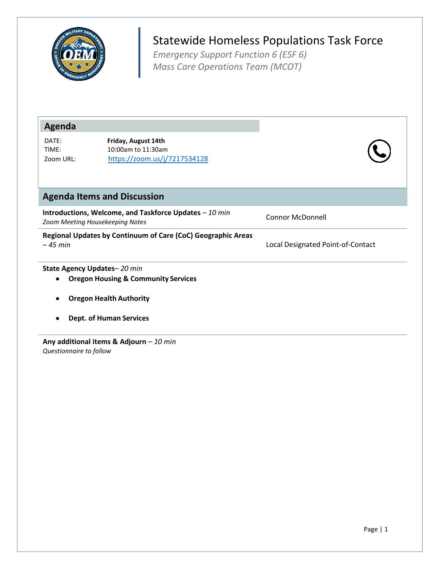

## Statewide Homeless Populations Task Force

*Emergency Support Function 6 (ESF 6) Mass Care Operations Team (MCOT)*

| Agenda                                                                                    |                                                                               |                                   |
|-------------------------------------------------------------------------------------------|-------------------------------------------------------------------------------|-----------------------------------|
| DATE:<br>TIME:<br>Zoom URL:                                                               | Friday, August 14th<br>10:00am to 11:30am<br>https://zoom.us/j/7217534128     |                                   |
|                                                                                           | <b>Agenda Items and Discussion</b>                                            |                                   |
| Introductions, Welcome, and Taskforce Updates - 10 min<br>Zoom Meeting Housekeeping Notes |                                                                               | <b>Connor McDonnell</b>           |
| Regional Updates by Continuum of Care (CoC) Geographic Areas<br>$-45$ min                 |                                                                               | Local Designated Point-of-Contact |
|                                                                                           | State Agency Updates-20 min<br><b>Oregon Housing &amp; Community Services</b> |                                   |
|                                                                                           | <b>Oregon Health Authority</b>                                                |                                   |
|                                                                                           | <b>Dept. of Human Services</b>                                                |                                   |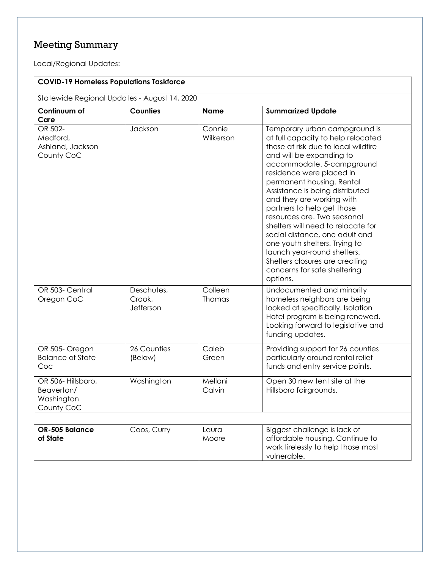## Meeting Summary

Local/Regional Updates:

| <b>COVID-19 Homeless Populations Taskforce</b>              |                                   |                     |                                                                                                                                                                                                                                                                                                                                                                                                                                                                                                                                                                                 |  |
|-------------------------------------------------------------|-----------------------------------|---------------------|---------------------------------------------------------------------------------------------------------------------------------------------------------------------------------------------------------------------------------------------------------------------------------------------------------------------------------------------------------------------------------------------------------------------------------------------------------------------------------------------------------------------------------------------------------------------------------|--|
| Statewide Regional Updates - August 14, 2020                |                                   |                     |                                                                                                                                                                                                                                                                                                                                                                                                                                                                                                                                                                                 |  |
| Continuum of<br>Care                                        | <b>Counties</b>                   | <b>Name</b>         | <b>Summarized Update</b>                                                                                                                                                                                                                                                                                                                                                                                                                                                                                                                                                        |  |
| OR 502-<br>Medford,<br>Ashland, Jackson<br>County CoC       | Jackson                           | Connie<br>Wilkerson | Temporary urban campground is<br>at full capacity to help relocated<br>those at risk due to local wildfire<br>and will be expanding to<br>accommodate. 5-campground<br>residence were placed in<br>permanent housing. Rental<br>Assistance is being distributed<br>and they are working with<br>partners to help get those<br>resources are. Two seasonal<br>shelters will need to relocate for<br>social distance, one adult and<br>one youth shelters. Trying to<br>launch year-round shelters.<br>Shelters closures are creating<br>concerns for safe sheltering<br>options. |  |
| OR 503- Central<br>Oregon CoC                               | Deschutes,<br>Crook,<br>Jefferson | Colleen<br>Thomas   | Undocumented and minority<br>homeless neighbors are being<br>looked at specifically. Isolation<br>Hotel program is being renewed.<br>Looking forward to legislative and<br>funding updates.                                                                                                                                                                                                                                                                                                                                                                                     |  |
| OR 505- Oregon<br><b>Balance of State</b><br>Coc            | 26 Counties<br>(Below)            | Caleb<br>Green      | Providing support for 26 counties<br>particularly around rental relief<br>funds and entry service points.                                                                                                                                                                                                                                                                                                                                                                                                                                                                       |  |
| OR 506-Hillsboro,<br>Beaverton/<br>Washington<br>County CoC | Washington                        | Mellani<br>Calvin   | Open 30 new tent site at the<br>Hillsboro fairgrounds.                                                                                                                                                                                                                                                                                                                                                                                                                                                                                                                          |  |
|                                                             |                                   |                     |                                                                                                                                                                                                                                                                                                                                                                                                                                                                                                                                                                                 |  |
| OR-505 Balance<br>of State                                  | Coos, Curry                       | Laura<br>Moore      | Biggest challenge is lack of<br>affordable housing. Continue to<br>work tirelessly to help those most<br>vulnerable.                                                                                                                                                                                                                                                                                                                                                                                                                                                            |  |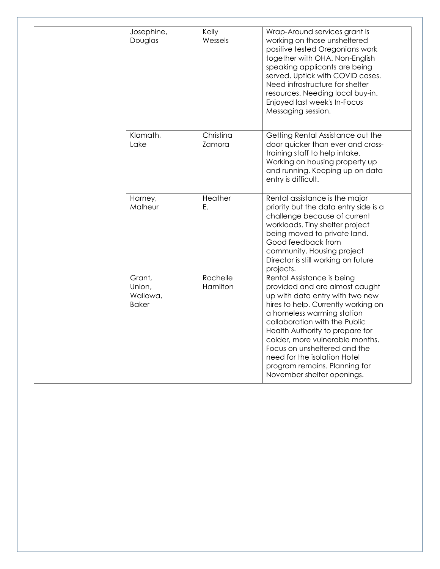| Josephine,<br>Douglas                        | Kelly<br>Wessels     | Wrap-Around services grant is<br>working on those unsheltered<br>positive tested Oregonians work<br>together with OHA. Non-English<br>speaking applicants are being<br>served. Uptick with COVID cases.<br>Need infrastructure for shelter<br>resources. Needing local buy-in.<br>Enjoyed last week's In-Focus<br>Messaging session.                                                                       |
|----------------------------------------------|----------------------|------------------------------------------------------------------------------------------------------------------------------------------------------------------------------------------------------------------------------------------------------------------------------------------------------------------------------------------------------------------------------------------------------------|
| Klamath,<br>Lake                             | Christina<br>Zamora  | Getting Rental Assistance out the<br>door quicker than ever and cross-<br>training staff to help intake.<br>Working on housing property up<br>and running. Keeping up on data<br>entry is difficult.                                                                                                                                                                                                       |
| Harney,<br>Malheur                           | Heather<br>Ε.        | Rental assistance is the major<br>priority but the data entry side is a<br>challenge because of current<br>workloads. Tiny shelter project<br>being moved to private land.<br>Good feedback from<br>community. Housing project<br>Director is still working on future<br>projects.                                                                                                                         |
| Grant,<br>Union,<br>Wallowa,<br><b>Baker</b> | Rochelle<br>Hamilton | Rental Assistance is being<br>provided and are almost caught<br>up with data entry with two new<br>hires to help. Currently working on<br>a homeless warming station<br>collaboration with the Public<br>Health Authority to prepare for<br>colder, more vulnerable months.<br>Focus on unsheltered and the<br>need for the isolation Hotel<br>program remains. Planning for<br>November shelter openings. |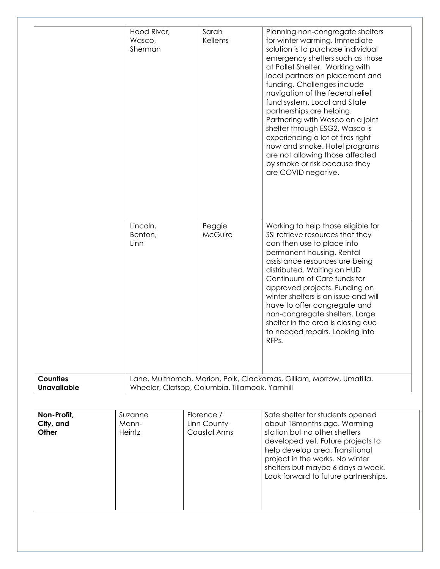| Lincoln,<br>Working to help those eligible for<br>Peggie<br>Benton,<br>McGuire<br>SSI retrieve resources that they<br>Linn<br>can then use to place into<br>permanent housing. Rental<br>assistance resources are being<br>distributed. Waiting on HUD<br>Continuum of Care funds for<br>approved projects. Funding on<br>winter shelters is an issue and will<br>have to offer congregate and<br>non-congregate shelters. Large<br>shelter in the area is closing due<br>to needed repairs. Looking into<br>RFPs.<br><b>Counties</b><br>Lane, Multnomah, Marion, Polk, Clackamas, Gilliam, Morrow, Umatilla,<br><b>Unavailable</b><br>Wheeler, Clatsop, Columbia, Tillamook, Yamhill | Hood River,<br>Wasco,<br>Sherman | Sarah<br>Kellems | Planning non-congregate shelters<br>for winter warming. Immediate<br>solution is to purchase individual<br>emergency shelters such as those<br>at Pallet Shelter. Working with<br>local partners on placement and<br>funding. Challenges include<br>navigation of the federal relief<br>fund system. Local and State<br>partnerships are helping.<br>Partnering with Wasco on a joint<br>shelter through ESG2. Wasco is<br>experiencing a lot of fires right<br>now and smoke. Hotel programs<br>are not allowing those affected<br>by smoke or risk because they<br>are COVID negative. |
|---------------------------------------------------------------------------------------------------------------------------------------------------------------------------------------------------------------------------------------------------------------------------------------------------------------------------------------------------------------------------------------------------------------------------------------------------------------------------------------------------------------------------------------------------------------------------------------------------------------------------------------------------------------------------------------|----------------------------------|------------------|------------------------------------------------------------------------------------------------------------------------------------------------------------------------------------------------------------------------------------------------------------------------------------------------------------------------------------------------------------------------------------------------------------------------------------------------------------------------------------------------------------------------------------------------------------------------------------------|
|                                                                                                                                                                                                                                                                                                                                                                                                                                                                                                                                                                                                                                                                                       |                                  |                  |                                                                                                                                                                                                                                                                                                                                                                                                                                                                                                                                                                                          |
|                                                                                                                                                                                                                                                                                                                                                                                                                                                                                                                                                                                                                                                                                       |                                  |                  |                                                                                                                                                                                                                                                                                                                                                                                                                                                                                                                                                                                          |

| Non-Profit,<br>City, and<br>Other | Suzanne<br>Mann-<br>Heintz | Florence /<br>Linn County<br>Coastal Arms | Safe shelter for students opened<br>about 18 months ago. Warming<br>station but no other shelters<br>developed yet. Future projects to<br>help develop area. Transitional<br>project in the works. No winter<br>shelters but maybe 6 days a week.<br>Look forward to future partnerships. |
|-----------------------------------|----------------------------|-------------------------------------------|-------------------------------------------------------------------------------------------------------------------------------------------------------------------------------------------------------------------------------------------------------------------------------------------|
|                                   |                            |                                           |                                                                                                                                                                                                                                                                                           |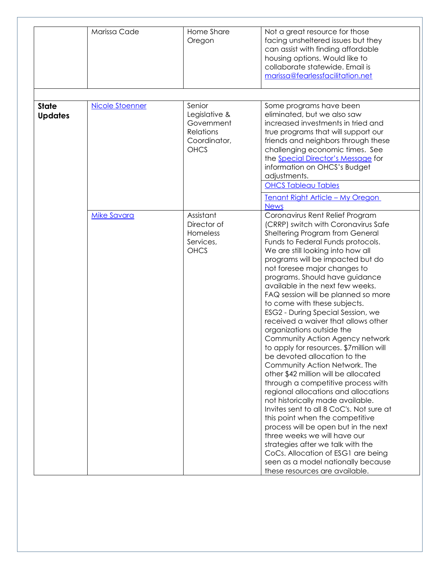|                                | Marissa Cade       | Home Share<br>Oregon                                                              | Not a great resource for those<br>facing unsheltered issues but they<br>can assist with finding affordable<br>housing options. Would like to<br>collaborate statewide. Email is<br>marissa@fearlessfacilitation.net                                                                                                                                                                                                                                                                                                                                                                                                                                                                                                                                                                                                                                                                                                                                                                                                                                                                                                               |
|--------------------------------|--------------------|-----------------------------------------------------------------------------------|-----------------------------------------------------------------------------------------------------------------------------------------------------------------------------------------------------------------------------------------------------------------------------------------------------------------------------------------------------------------------------------------------------------------------------------------------------------------------------------------------------------------------------------------------------------------------------------------------------------------------------------------------------------------------------------------------------------------------------------------------------------------------------------------------------------------------------------------------------------------------------------------------------------------------------------------------------------------------------------------------------------------------------------------------------------------------------------------------------------------------------------|
| <b>State</b><br><b>Updates</b> | Nicole Stoenner    | Senior<br>Legislative &<br>Government<br>Relations<br>Coordinator,<br><b>OHCS</b> | Some programs have been<br>eliminated, but we also saw<br>increased investments in tried and<br>true programs that will support our<br>friends and neighbors through these<br>challenging economic times. See<br>the <b>Special Director's Message</b> for<br>information on OHCS's Budget<br>adjustments.<br><b>OHCS Tableau Tables</b><br><u><b>Tenant Right Article - My Oregon</b></u><br><b>News</b>                                                                                                                                                                                                                                                                                                                                                                                                                                                                                                                                                                                                                                                                                                                         |
|                                | <b>Mike Savara</b> | Assistant<br>Director of<br>Homeless<br>Services,<br><b>OHCS</b>                  | Coronavirus Rent Relief Program<br>(CRRP) switch with Coronavirus Safe<br>Sheltering Program from General<br>Funds to Federal Funds protocols.<br>We are still looking into how all<br>programs will be impacted but do<br>not foresee major changes to<br>programs. Should have guidance<br>available in the next few weeks.<br>FAQ session will be planned so more<br>to come with these subjects.<br>ESG2 - During Special Session, we<br>received a waiver that allows other<br>organizations outside the<br>Community Action Agency network<br>to apply for resources. \$7 million will<br>be devoted allocation to the<br>Community Action Network. The<br>other \$42 million will be allocated<br>through a competitive process with<br>regional allocations and allocations<br>not historically made available.<br>Invites sent to all 8 CoC's. Not sure at<br>this point when the competitive<br>process will be open but in the next<br>three weeks we will have our<br>strategies after we talk with the<br>CoCs. Allocation of ESG1 are being<br>seen as a model nationally because<br>these resources are available. |